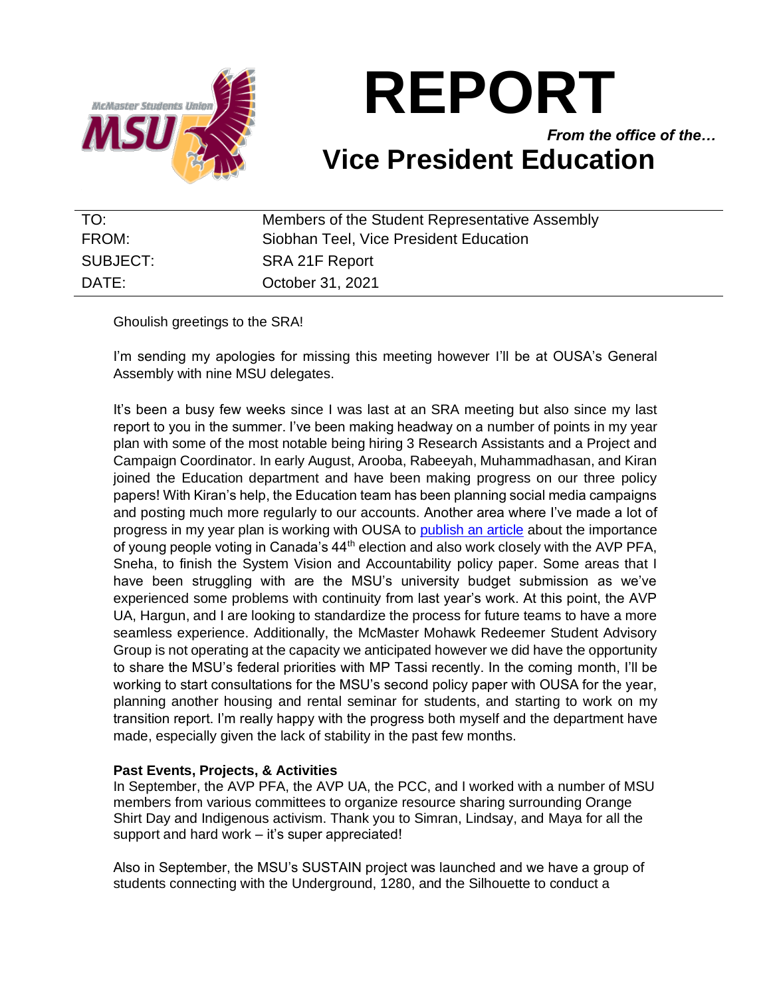

# **REPORT**

*From the office of the…* **Vice President Education**

| TO:      | Members of the Student Representative Assembly |
|----------|------------------------------------------------|
| FROM:    | Siobhan Teel, Vice President Education         |
| SUBJECT: | SRA 21F Report                                 |
| DATE:    | October 31, 2021                               |

Ghoulish greetings to the SRA!

I'm sending my apologies for missing this meeting however I'll be at OUSA's General Assembly with nine MSU delegates.

It's been a busy few weeks since I was last at an SRA meeting but also since my last report to you in the summer. I've been making headway on a number of points in my year plan with some of the most notable being hiring 3 Research Assistants and a Project and Campaign Coordinator. In early August, Arooba, Rabeeyah, Muhammadhasan, and Kiran joined the Education department and have been making progress on our three policy papers! With Kiran's help, the Education team has been planning social media campaigns and posting much more regularly to our accounts. Another area where I've made a lot of progress in my year plan is working with OUSA to [publish an article](https://www.ousa.ca/brutal_out_here) about the importance of young people voting in Canada's 44<sup>th</sup> election and also work closely with the AVP PFA, Sneha, to finish the System Vision and Accountability policy paper. Some areas that I have been struggling with are the MSU's university budget submission as we've experienced some problems with continuity from last year's work. At this point, the AVP UA, Hargun, and I are looking to standardize the process for future teams to have a more seamless experience. Additionally, the McMaster Mohawk Redeemer Student Advisory Group is not operating at the capacity we anticipated however we did have the opportunity to share the MSU's federal priorities with MP Tassi recently. In the coming month, I'll be working to start consultations for the MSU's second policy paper with OUSA for the year, planning another housing and rental seminar for students, and starting to work on my transition report. I'm really happy with the progress both myself and the department have made, especially given the lack of stability in the past few months.

# **Past Events, Projects, & Activities**

In September, the AVP PFA, the AVP UA, the PCC, and I worked with a number of MSU members from various committees to organize resource sharing surrounding Orange Shirt Day and Indigenous activism. Thank you to Simran, Lindsay, and Maya for all the support and hard work – it's super appreciated!

Also in September, the MSU's SUSTAIN project was launched and we have a group of students connecting with the Underground, 1280, and the Silhouette to conduct a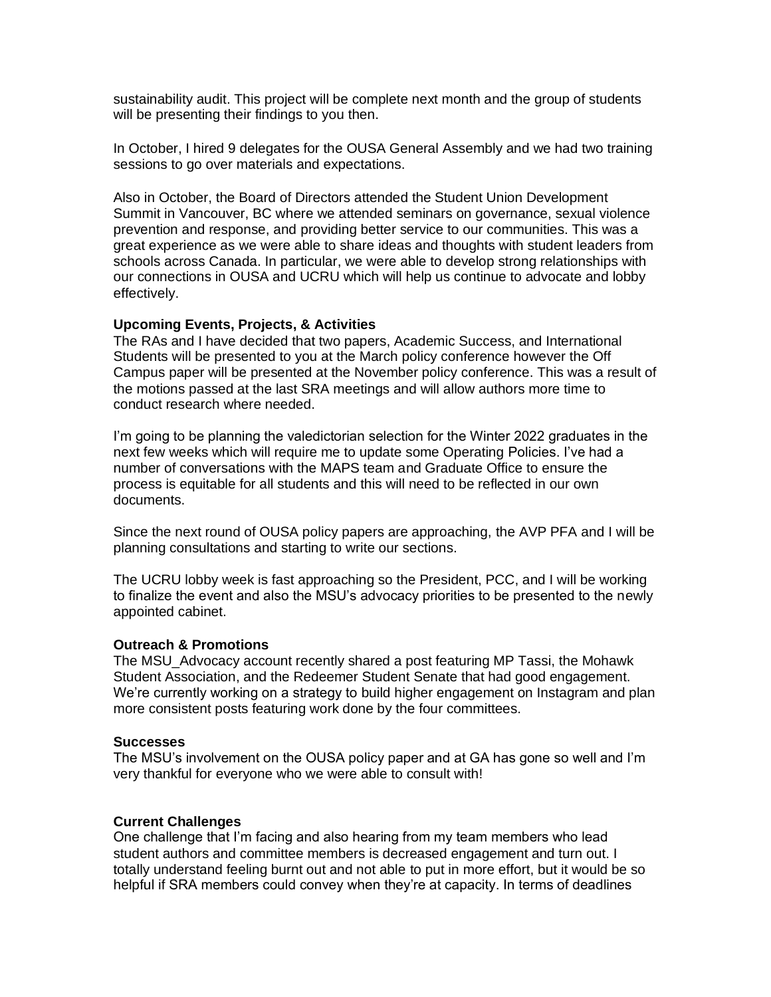sustainability audit. This project will be complete next month and the group of students will be presenting their findings to you then.

In October, I hired 9 delegates for the OUSA General Assembly and we had two training sessions to go over materials and expectations.

Also in October, the Board of Directors attended the Student Union Development Summit in Vancouver, BC where we attended seminars on governance, sexual violence prevention and response, and providing better service to our communities. This was a great experience as we were able to share ideas and thoughts with student leaders from schools across Canada. In particular, we were able to develop strong relationships with our connections in OUSA and UCRU which will help us continue to advocate and lobby effectively.

### **Upcoming Events, Projects, & Activities**

The RAs and I have decided that two papers, Academic Success, and International Students will be presented to you at the March policy conference however the Off Campus paper will be presented at the November policy conference. This was a result of the motions passed at the last SRA meetings and will allow authors more time to conduct research where needed.

I'm going to be planning the valedictorian selection for the Winter 2022 graduates in the next few weeks which will require me to update some Operating Policies. I've had a number of conversations with the MAPS team and Graduate Office to ensure the process is equitable for all students and this will need to be reflected in our own documents.

Since the next round of OUSA policy papers are approaching, the AVP PFA and I will be planning consultations and starting to write our sections.

The UCRU lobby week is fast approaching so the President, PCC, and I will be working to finalize the event and also the MSU's advocacy priorities to be presented to the newly appointed cabinet.

#### **Outreach & Promotions**

The MSU\_Advocacy account recently shared a post featuring MP Tassi, the Mohawk Student Association, and the Redeemer Student Senate that had good engagement. We're currently working on a strategy to build higher engagement on Instagram and plan more consistent posts featuring work done by the four committees.

#### **Successes**

The MSU's involvement on the OUSA policy paper and at GA has gone so well and I'm very thankful for everyone who we were able to consult with!

#### **Current Challenges**

One challenge that I'm facing and also hearing from my team members who lead student authors and committee members is decreased engagement and turn out. I totally understand feeling burnt out and not able to put in more effort, but it would be so helpful if SRA members could convey when they're at capacity. In terms of deadlines